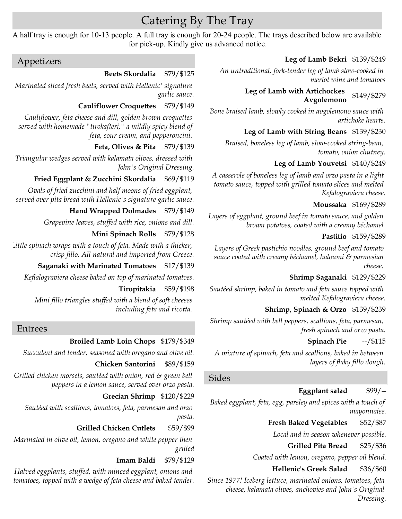# Catering By The Tray

A half tray is enough for 10-13 people. A full tray is enough for 20-24 people. The trays described below are available for pick-up. Kindly give us advanced notice.

# Appetizers

## **Beets Skordalia** \$79/\$125

*Marinated sliced fresh beets, served with Hellenic' signature garlic sauce.*

# **Cauliflower Croquettes** \$79/\$149

*Cauliflower, feta cheese and dill, golden brown croquettes served with homemade "tirokafteri," a mildly spicy blend of feta, sour cream, and pepperoncini.* 

# **Feta, Olives & Pita** \$79/\$139

*Triangular wedges served with kalamata olives, dressed with John's Original Dressing.*

# **Fried Eggplant & Zucchini Skordalia** \$69/\$119

*Ovals of fried zucchini and half moons of fried eggplant, served over pita bread with Hellenic's signature garlic sauce.*

# **Hand Wrapped Dolmades** \$79/\$149

*Grapevine leaves, stuffed with rice, onions and dill.*

### **Mini Spinach Rolls** \$79/\$128

*Little spinach wraps with a touch of feta. Made with a thicker, crisp fillo. All natural and imported from Greece.*

### **Saganaki with Marinated Tomatoes** \$17/\$139

*Keflalograviera cheese baked on top of marinated tomatoes.*

### **Tiropitakia** \$59/\$198

*Mini fillo triangles stuffed with a blend of soft cheeses including feta and ricotta.* 

# Entrees

# **Broiled Lamb Loin Chops** \$179/\$349

*Succulent and tender, seasoned with oregano and olive oil.*

### **Chicken Santorini** \$89/\$159

*Grilled chicken morsels, sautéed with onion, red & green bell peppers in a lemon sauce, served over orzo pasta.*

### **Grecian Shrimp** \$120/\$229

*Sautéed with scallions, tomatoes, feta, parmesan and orzo pasta.*

### **Grilled Chicken Cutlets** \$59/\$99

*Marinated in olive oil, lemon, oregano and white pepper then grilled*

### **Imam Baldi** \$79/\$129

*Halved eggplants, stuffed, with minced eggplant, onions and tomatoes, topped with a wedge of feta cheese and baked tender.*

## **Leg of Lamb Bekri** \$139/\$249

*An untraditional, fork-tender leg of lamb slow-cooked in merlot wine and tomatoes*

### **Leg of Lamb with Artichockes Avgolemono** \$149/\$279

*Bone braised lamb, slowly cooked in avgolemono sauce with artichoke hearts.*

# **Leg of Lamb with String Beans** \$139/\$230

*Braised, boneless leg of lamb, slow-cooked string-bean, tomato, onion chutney.*

# **Leg of Lamb Youvetsi** \$140/\$249

*A casserole of boneless leg of lamb and orzo pasta in a light tomato sauce, topped with grilled tomato slices and melted Kefalograviera cheese.*

#### **Moussaka** \$169/\$289

*Layers of eggplant, ground beef in tomato sauce, and golden brown potatoes, coated with a creamy béchamel* 

#### **Pastitio** \$159/\$289

*Layers of Greek pastichio noodles, ground beef and tomato sauce coated with creamy béchamel, haloumi & parmesian cheese.* 

# **Shrimp Saganaki** \$129/\$229

*Sautéed shrimp, baked in tomato and feta sauce topped with melted Kefalograviera cheese.*

# **Shrimp, Spinach & Orzo** \$139/\$239

*Shrimp sautéed with bell peppers, scallions, feta, parmesan, fresh spinach and orzo pasta.*

### **Spinach Pie** --/\$115

*A mixture of spinach, feta and scallions, baked in between layers of flaky fillo dough.*

## Sides

# **Eggplant salad** \$99/--

*Baked eggplant, feta, egg, parsley and spices with a touch of mayonnaise.*

### **Fresh Baked Vegetables** \$52/\$87

*Local and in season whenever possible.*

### **Grilled Pita Bread** \$25/\$36

*Coated with lemon, oregano, pepper oil blend.*

### **Hellenic's Greek Salad** \$36/\$60

*Since 1977! Iceberg lettuce, marinated onions, tomatoes, feta cheese, kalamata olives, anchovies and John's Original Dressing.*